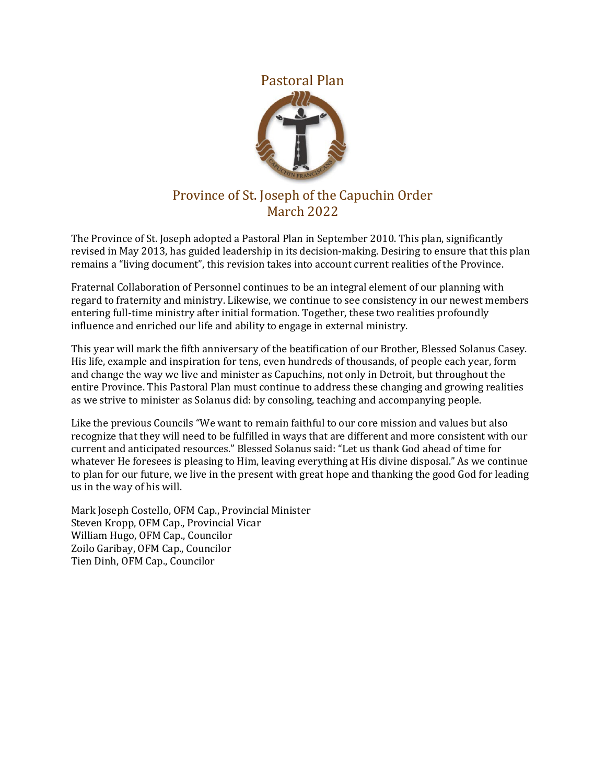

## Province of St. Joseph of the Capuchin Order March 2022

The Province of St. Joseph adopted a Pastoral Plan in September 2010. This plan, significantly revised in May 2013, has guided leadership in its decision-making. Desiring to ensure that this plan remains a "living document", this revision takes into account current realities of the Province.

Fraternal Collaboration of Personnel continues to be an integral element of our planning with regard to fraternity and ministry. Likewise, we continue to see consistency in our newest members entering full-time ministry after initial formation. Together, these two realities profoundly influence and enriched our life and ability to engage in external ministry.

This year will mark the fifth anniversary of the beatification of our Brother, Blessed Solanus Casey. His life, example and inspiration for tens, even hundreds of thousands, of people each year, form and change the way we live and minister as Capuchins, not only in Detroit, but throughout the entire Province. This Pastoral Plan must continue to address these changing and growing realities as we strive to minister as Solanus did: by consoling, teaching and accompanying people.

Like the previous Councils "We want to remain faithful to our core mission and values but also recognize that they will need to be fulfilled in ways that are different and more consistent with our current and anticipated resources." Blessed Solanus said: "Let us thank God ahead of time for whatever He foresees is pleasing to Him, leaving everything at His divine disposal." As we continue to plan for our future, we live in the present with great hope and thanking the good God for leading us in the way of his will.

Mark Joseph Costello, OFM Cap., Provincial Minister Steven Kropp, OFM Cap., Provincial Vicar William Hugo, OFM Cap., Councilor Zoilo Garibay, OFM Cap., Councilor Tien Dinh, OFM Cap., Councilor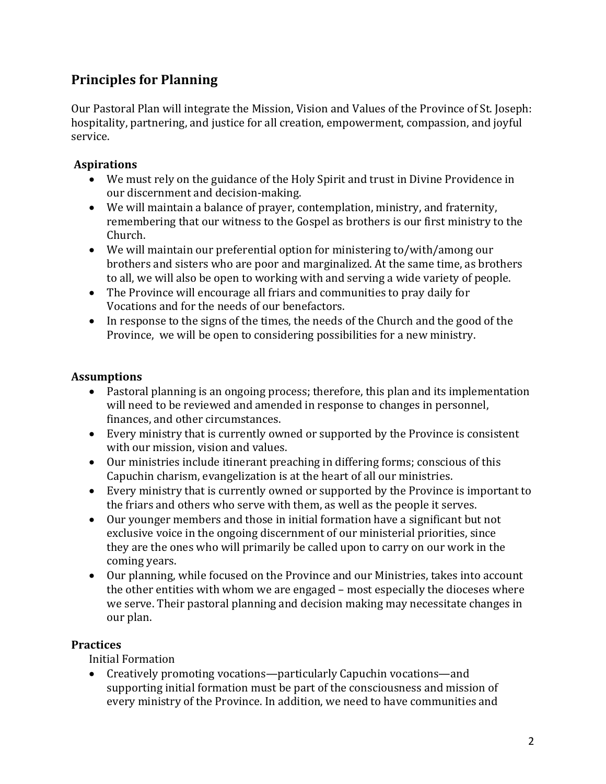# **Principles for Planning**

Our Pastoral Plan will integrate the Mission, Vision and Values of the Province of St. Joseph: hospitality, partnering, and justice for all creation, empowerment, compassion, and joyful service.

#### **Aspirations**

- We must rely on the guidance of the Holy Spirit and trust in Divine Providence in our discernment and decision-making.
- We will maintain a balance of prayer, contemplation, ministry, and fraternity, remembering that our witness to the Gospel as brothers is our first ministry to the Church.
- We will maintain our preferential option for ministering to/with/among our brothers and sisters who are poor and marginalized. At the same time, as brothers to all, we will also be open to working with and serving a wide variety of people.
- The Province will encourage all friars and communities to pray daily for Vocations and for the needs of our benefactors.
- In response to the signs of the times, the needs of the Church and the good of the Province, we will be open to considering possibilities for a new ministry.

#### **Assumptions**

- Pastoral planning is an ongoing process; therefore, this plan and its implementation will need to be reviewed and amended in response to changes in personnel, finances, and other circumstances.
- Every ministry that is currently owned or supported by the Province is consistent with our mission, vision and values.
- Our ministries include itinerant preaching in differing forms; conscious of this Capuchin charism, evangelization is at the heart of all our ministries.
- Every ministry that is currently owned or supported by the Province is important to the friars and others who serve with them, as well as the people it serves.
- Our younger members and those in initial formation have a significant but not exclusive voice in the ongoing discernment of our ministerial priorities, since they are the ones who will primarily be called upon to carry on our work in the coming years.
- Our planning, while focused on the Province and our Ministries, takes into account the other entities with whom we are engaged – most especially the dioceses where we serve. Their pastoral planning and decision making may necessitate changes in our plan.

### **Practices**

Initial Formation

• Creatively promoting vocations—particularly Capuchin vocations—and supporting initial formation must be part of the consciousness and mission of every ministry of the Province. In addition, we need to have communities and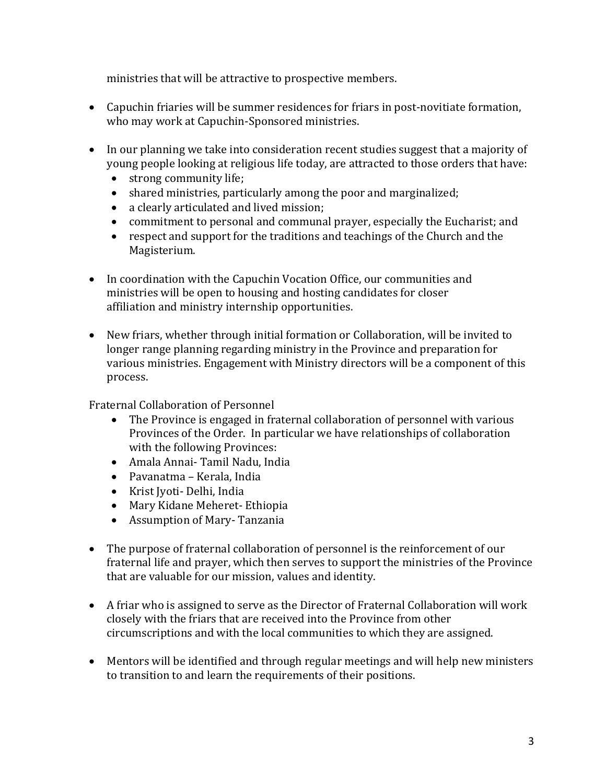ministries that will be attractive to prospective members.

- Capuchin friaries will be summer residences for friars in post-novitiate formation, who may work at Capuchin-Sponsored ministries.
- In our planning we take into consideration recent studies suggest that a majority of young people looking at religious life today, are attracted to those orders that have:
	- strong community life;<br>• shared ministries, parti
	- shared ministries, particularly among the poor and marginalized;
	- a clearly articulated and lived mission;
	- commitment to personal and communal prayer, especially the Eucharist; and
	- respect and support for the traditions and teachings of the Church and the Magisterium.
- In coordination with the Capuchin Vocation Office, our communities and ministries will be open to housing and hosting candidates for closer affiliation and ministry internship opportunities.
- New friars, whether through initial formation or Collaboration, will be invited to longer range planning regarding ministry in the Province and preparation for various ministries. Engagement with Ministry directors will be a component of this process.

Fraternal Collaboration of Personnel

- The Province is engaged in fraternal collaboration of personnel with various Provinces of the Order. In particular we have relationships of collaboration with the following Provinces:
- Amala Annai- Tamil Nadu, India
- Pavanatma Kerala, India
- Krist Jyoti- Delhi, India
- Mary Kidane Meheret- Ethiopia
- Assumption of Mary- Tanzania
- The purpose of fraternal collaboration of personnel is the reinforcement of our fraternal life and prayer, which then serves to support the ministries of the Province that are valuable for our mission, values and identity.
- A friar who is assigned to serve as the Director of Fraternal Collaboration will work closely with the friars that are received into the Province from other circumscriptions and with the local communities to which they are assigned.
- Mentors will be identified and through regular meetings and will help new ministers to transition to and learn the requirements of their positions.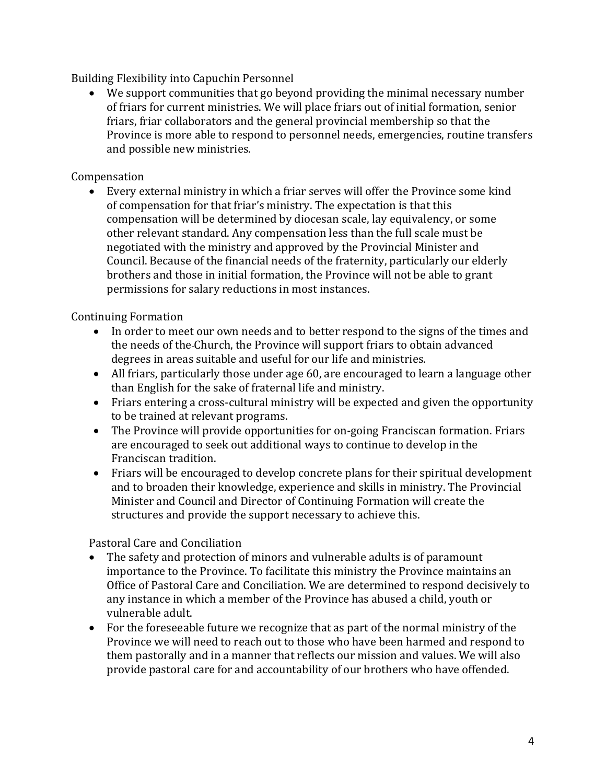Building Flexibility into Capuchin Personnel

• We support communities that go beyond providing the minimal necessary number of friars for current ministries. We will place friars out of initial formation, senior friars, friar collaborators and the general provincial membership so that the Province is more able to respond to personnel needs, emergencies, routine transfers and possible new ministries.

### Compensation

• Every external ministry in which a friar serves will offer the Province some kind of compensation for that friar's ministry. The expectation is that this compensation will be determined by diocesan scale, lay equivalency, or some other relevant standard. Any compensation less than the full scale must be negotiated with the ministry and approved by the Provincial Minister and Council. Because of the financial needs of the fraternity, particularly our elderly brothers and those in initial formation, the Province will not be able to grant permissions for salary reductions in most instances.

### Continuing Formation

- In order to meet our own needs and to better respond to the signs of the times and the needs of the Church, the Province will support friars to obtain advanced degrees in areas suitable and useful for our life and ministries.
- All friars, particularly those under age 60, are encouraged to learn a language other than English for the sake of fraternal life and ministry.
- Friars entering a cross-cultural ministry will be expected and given the opportunity to be trained at relevant programs.
- The Province will provide opportunities for on-going Franciscan formation. Friars are encouraged to seek out additional ways to continue to develop in the Franciscan tradition.
- Friars will be encouraged to develop concrete plans for their spiritual development and to broaden their knowledge, experience and skills in ministry. The Provincial Minister and Council and Director of Continuing Formation will create the structures and provide the support necessary to achieve this.

Pastoral Care and Conciliation

- The safety and protection of minors and vulnerable adults is of paramount importance to the Province. To facilitate this ministry the Province maintains an Office of Pastoral Care and Conciliation. We are determined to respond decisively to any instance in which a member of the Province has abused a child, youth or vulnerable adult.
- For the foreseeable future we recognize that as part of the normal ministry of the Province we will need to reach out to those who have been harmed and respond to them pastorally and in a manner that reflects our mission and values. We will also provide pastoral care for and accountability of our brothers who have offended.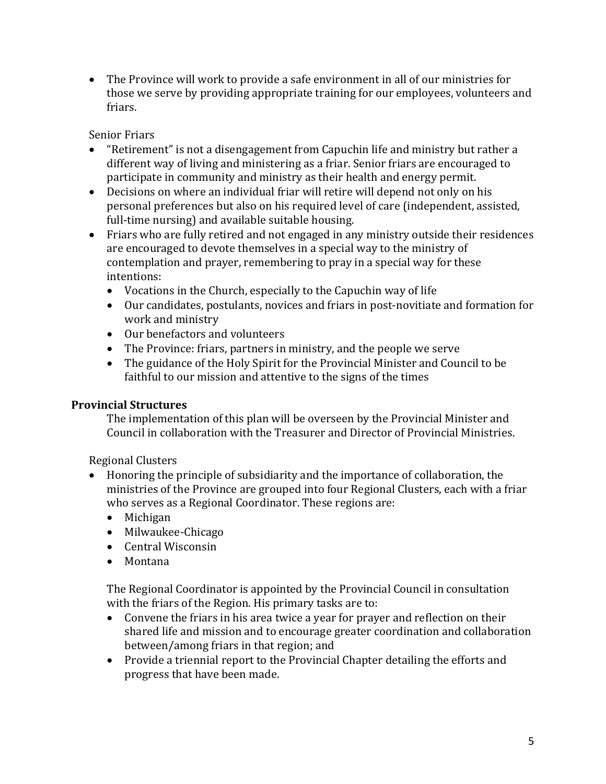• The Province will work to provide a safe environment in all of our ministries for those we serve by providing appropriate training for our employees, volunteers and friars.

Senior Friars

- "Retirement" is not a disengagement from Capuchin life and ministry but rather a different way of living and ministering as a friar. Senior friars are encouraged to participate in community and ministry as their health and energy permit.
- Decisions on where an individual friar will retire will depend not only on his personal preferences but also on his required level of care (independent, assisted, full-time nursing) and available suitable housing.
- Friars who are fully retired and not engaged in any ministry outside their residences are encouraged to devote themselves in a special way to the ministry of contemplation and prayer, remembering to pray in a special way for these intentions:
	- Vocations in the Church, especially to the Capuchin way of life
	- Our candidates, postulants, novices and friars in post-novitiate and formation for work and ministry
	- Our benefactors and volunteers
	- The Province: friars, partners in ministry, and the people we serve
	- The guidance of the Holy Spirit for the Provincial Minister and Council to be faithful to our mission and attentive to the signs of the times

### **Provincial Structures**

The implementation of this plan will be overseen by the Provincial Minister and Council in collaboration with the Treasurer and Director of Provincial Ministries.

Regional Clusters

- Honoring the principle of subsidiarity and the importance of collaboration, the ministries of the Province are grouped into four Regional Clusters, each with a friar who serves as a Regional Coordinator. These regions are:
	- Michigan
	- Milwaukee-Chicago
	- Central Wisconsin
	- Montana

The Regional Coordinator is appointed by the Provincial Council in consultation with the friars of the Region. His primary tasks are to:

- Convene the friars in his area twice a year for prayer and reflection on their shared life and mission and to encourage greater coordination and collaboration between/among friars in that region; and
- Provide a triennial report to the Provincial Chapter detailing the efforts and progress that have been made.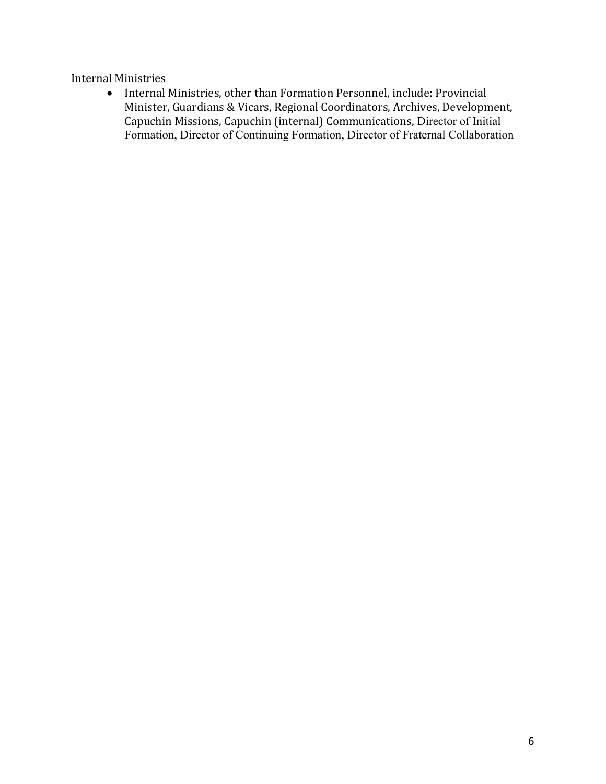#### Internal Ministries

• Internal Ministries, other than Formation Personnel, include: Provincial Minister, Guardians & Vicars, Regional Coordinators, Archives, Development, Capuchin Missions, Capuchin (internal) Communications, Director of Initial Formation, Director of Continuing Formation, Director of Fraternal Collaboration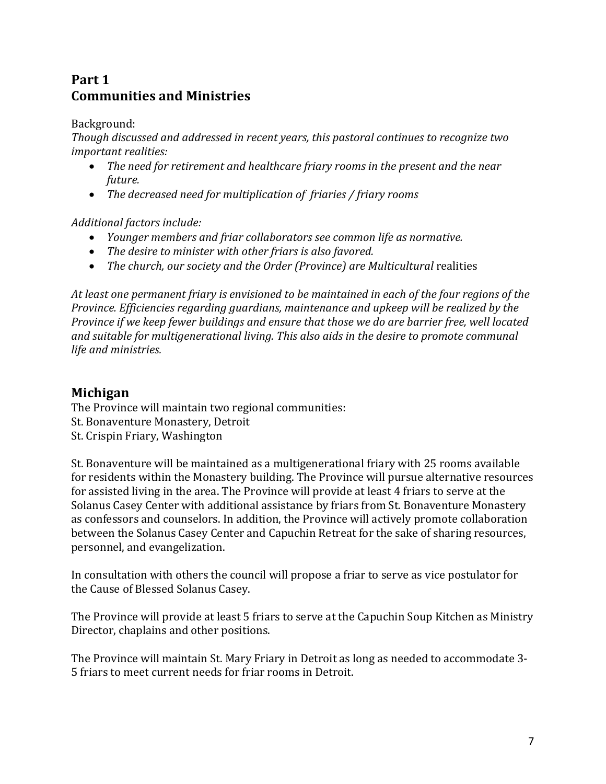# **Part 1 Communities and Ministries**

Background:

*Though discussed and addressed in recent years, this pastoral continues to recognize two important realities:*

- *The need for retirement and healthcare friary rooms in the present and the near future.*
- *The decreased need for multiplication of friaries / friary rooms*

*Additional factors include:*

- *Younger members and friar collaborators see common life as normative.*
- *The desire to minister with other friars is also favored.*
- *The church, our society and the Order (Province) are Multicultural* realities

*At least one permanent friary is envisioned to be maintained in each of the four regions of the Province. Efficiencies regarding guardians, maintenance and upkeep will be realized by the Province if we keep fewer buildings and ensure that those we do are barrier free, well located and suitable for multigenerational living. This also aids in the desire to promote communal life and ministries.*

# **Michigan**

The Province will maintain two regional communities: St. Bonaventure Monastery, Detroit St. Crispin Friary, Washington

St. Bonaventure will be maintained as a multigenerational friary with 25 rooms available for residents within the Monastery building. The Province will pursue alternative resources for assisted living in the area. The Province will provide at least 4 friars to serve at the Solanus Casey Center with additional assistance by friars from St. Bonaventure Monastery as confessors and counselors. In addition, the Province will actively promote collaboration between the Solanus Casey Center and Capuchin Retreat for the sake of sharing resources, personnel, and evangelization.

In consultation with others the council will propose a friar to serve as vice postulator for the Cause of Blessed Solanus Casey.

The Province will provide at least 5 friars to serve at the Capuchin Soup Kitchen as Ministry Director, chaplains and other positions.

The Province will maintain St. Mary Friary in Detroit as long as needed to accommodate 3- 5 friars to meet current needs for friar rooms in Detroit.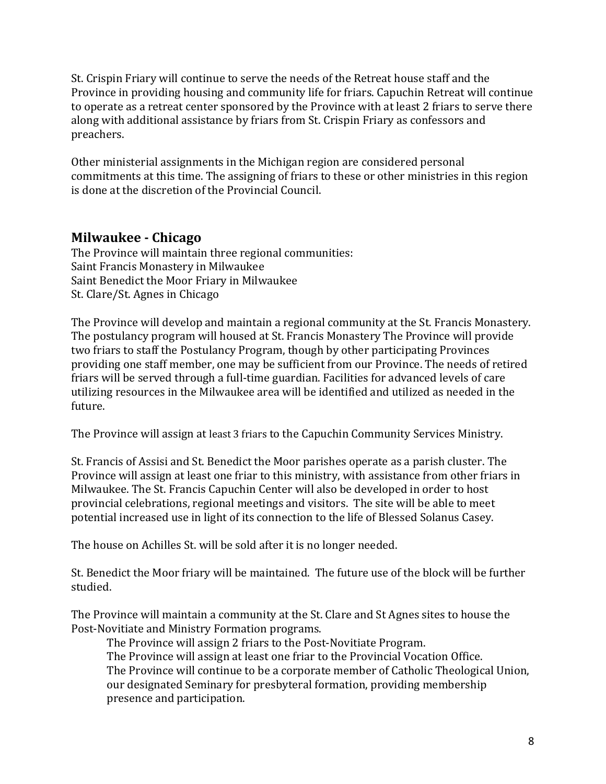St. Crispin Friary will continue to serve the needs of the Retreat house staff and the Province in providing housing and community life for friars. Capuchin Retreat will continue to operate as a retreat center sponsored by the Province with at least 2 friars to serve there along with additional assistance by friars from St. Crispin Friary as confessors and preachers.

Other ministerial assignments in the Michigan region are considered personal commitments at this time. The assigning of friars to these or other ministries in this region is done at the discretion of the Provincial Council.

### **Milwaukee - Chicago**

The Province will maintain three regional communities: Saint Francis Monastery in Milwaukee Saint Benedict the Moor Friary in Milwaukee St. Clare/St. Agnes in Chicago

The Province will develop and maintain a regional community at the St. Francis Monastery. The postulancy program will housed at St. Francis Monastery The Province will provide two friars to staff the Postulancy Program, though by other participating Provinces providing one staff member, one may be sufficient from our Province. The needs of retired friars will be served through a full-time guardian. Facilities for advanced levels of care utilizing resources in the Milwaukee area will be identified and utilized as needed in the future.

The Province will assign at least 3 friars to the Capuchin Community Services Ministry.

St. Francis of Assisi and St. Benedict the Moor parishes operate as a parish cluster. The Province will assign at least one friar to this ministry, with assistance from other friars in Milwaukee. The St. Francis Capuchin Center will also be developed in order to host provincial celebrations, regional meetings and visitors. The site will be able to meet potential increased use in light of its connection to the life of Blessed Solanus Casey.

The house on Achilles St. will be sold after it is no longer needed.

St. Benedict the Moor friary will be maintained. The future use of the block will be further studied.

The Province will maintain a community at the St. Clare and St Agnes sites to house the Post-Novitiate and Ministry Formation programs.

The Province will assign 2 friars to the Post-Novitiate Program. The Province will assign at least one friar to the Provincial Vocation Office. The Province will continue to be a corporate member of Catholic Theological Union, our designated Seminary for presbyteral formation, providing membership presence and participation.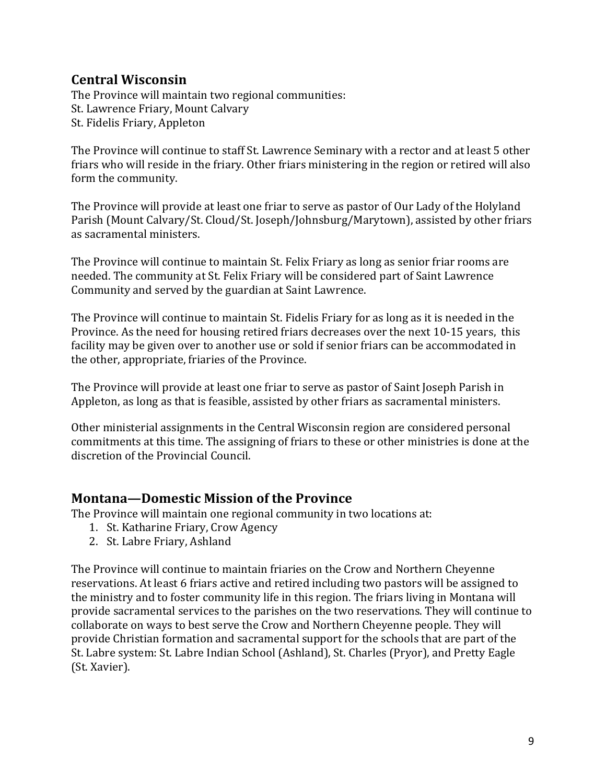### **Central Wisconsin**

The Province will maintain two regional communities: St. Lawrence Friary, Mount Calvary St. Fidelis Friary, Appleton

The Province will continue to staff St. Lawrence Seminary with a rector and at least 5 other friars who will reside in the friary. Other friars ministering in the region or retired will also form the community.

The Province will provide at least one friar to serve as pastor of Our Lady of the Holyland Parish (Mount Calvary/St. Cloud/St. Joseph/Johnsburg/Marytown), assisted by other friars as sacramental ministers.

The Province will continue to maintain St. Felix Friary as long as senior friar rooms are needed. The community at St. Felix Friary will be considered part of Saint Lawrence Community and served by the guardian at Saint Lawrence.

The Province will continue to maintain St. Fidelis Friary for as long as it is needed in the Province. As the need for housing retired friars decreases over the next 10-15 years, this facility may be given over to another use or sold if senior friars can be accommodated in the other, appropriate, friaries of the Province.

The Province will provide at least one friar to serve as pastor of Saint Joseph Parish in Appleton, as long as that is feasible, assisted by other friars as sacramental ministers.

Other ministerial assignments in the Central Wisconsin region are considered personal commitments at this time. The assigning of friars to these or other ministries is done at the discretion of the Provincial Council.

### **Montana—Domestic Mission of the Province**

The Province will maintain one regional community in two locations at:

- 1. St. Katharine Friary, Crow Agency
- 2. St. Labre Friary, Ashland

The Province will continue to maintain friaries on the Crow and Northern Cheyenne reservations. At least 6 friars active and retired including two pastors will be assigned to the ministry and to foster community life in this region. The friars living in Montana will provide sacramental services to the parishes on the two reservations. They will continue to collaborate on ways to best serve the Crow and Northern Cheyenne people. They will provide Christian formation and sacramental support for the schools that are part of the St. Labre system: St. Labre Indian School (Ashland), St. Charles (Pryor), and Pretty Eagle (St. Xavier).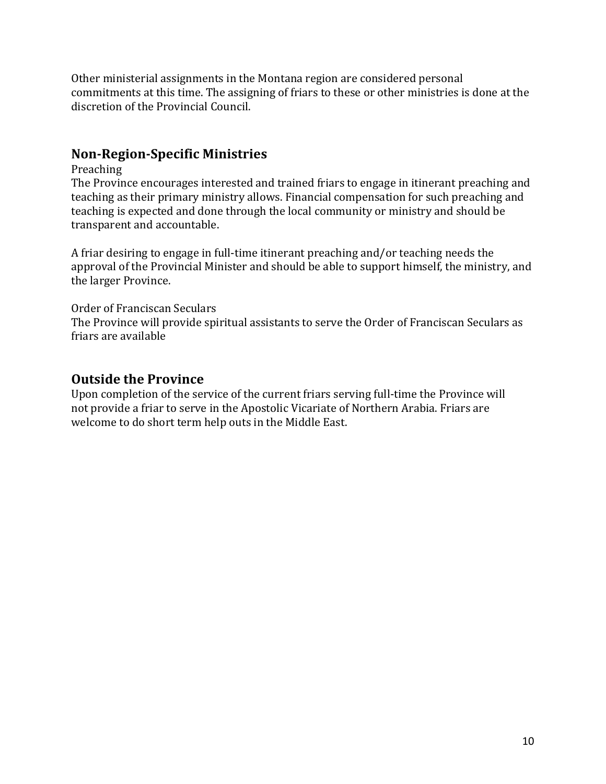Other ministerial assignments in the Montana region are considered personal commitments at this time. The assigning of friars to these or other ministries is done at the discretion of the Provincial Council.

### **Non-Region-Specific Ministries**

Preaching

The Province encourages interested and trained friars to engage in itinerant preaching and teaching as their primary ministry allows. Financial compensation for such preaching and teaching is expected and done through the local community or ministry and should be transparent and accountable.

A friar desiring to engage in full-time itinerant preaching and/or teaching needs the approval of the Provincial Minister and should be able to support himself, the ministry, and the larger Province.

#### Order of Franciscan Seculars

The Province will provide spiritual assistants to serve the Order of Franciscan Seculars as friars are available

### **Outside the Province**

Upon completion of the service of the current friars serving full-time the Province will not provide a friar to serve in the Apostolic Vicariate of Northern Arabia. Friars are welcome to do short term help outs in the Middle East.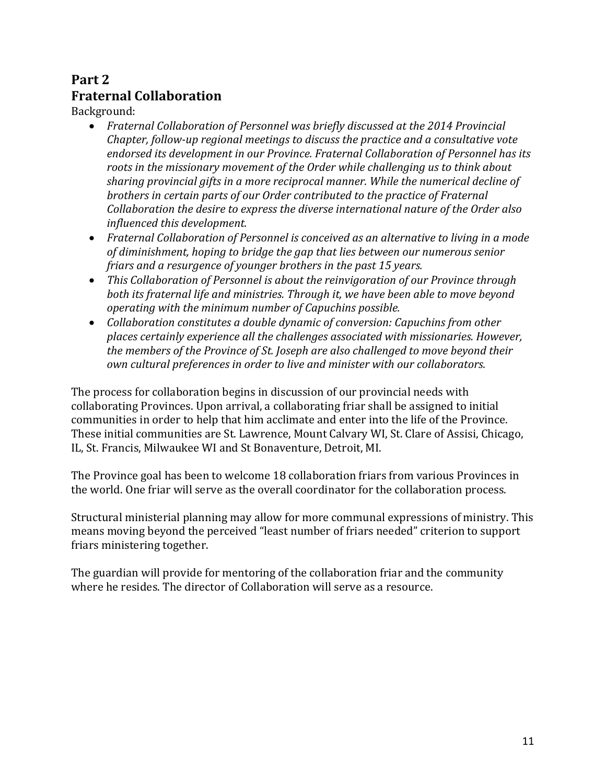# **Part 2 Fraternal Collaboration**

Background:

- *Fraternal Collaboration of Personnel was briefly discussed at the 2014 Provincial Chapter, follow-up regional meetings to discuss the practice and a consultative vote endorsed its development in our Province. Fraternal Collaboration of Personnel has its roots in the missionary movement of the Order while challenging us to think about sharing provincial gifts in a more reciprocal manner. While the numerical decline of brothers in certain parts of our Order contributed to the practice of Fraternal Collaboration the desire to express the diverse international nature of the Order also influenced this development.*
- *Fraternal Collaboration of Personnel is conceived as an alternative to living in a mode of diminishment, hoping to bridge the gap that lies between our numerous senior friars and a resurgence of younger brothers in the past 15 years.*
- *This Collaboration of Personnel is about the reinvigoration of our Province through both its fraternal life and ministries. Through it, we have been able to move beyond operating with the minimum number of Capuchins possible.*
- *Collaboration constitutes a double dynamic of conversion: Capuchins from other places certainly experience all the challenges associated with missionaries. However, the members of the Province of St. Joseph are also challenged to move beyond their own cultural preferences in order to live and minister with our collaborators.*

The process for collaboration begins in discussion of our provincial needs with collaborating Provinces. Upon arrival, a collaborating friar shall be assigned to initial communities in order to help that him acclimate and enter into the life of the Province. These initial communities are St. Lawrence, Mount Calvary WI, St. Clare of Assisi, Chicago, IL, St. Francis, Milwaukee WI and St Bonaventure, Detroit, MI.

The Province goal has been to welcome 18 collaboration friars from various Provinces in the world. One friar will serve as the overall coordinator for the collaboration process.

Structural ministerial planning may allow for more communal expressions of ministry. This means moving beyond the perceived "least number of friars needed" criterion to support friars ministering together.

The guardian will provide for mentoring of the collaboration friar and the community where he resides. The director of Collaboration will serve as a resource.